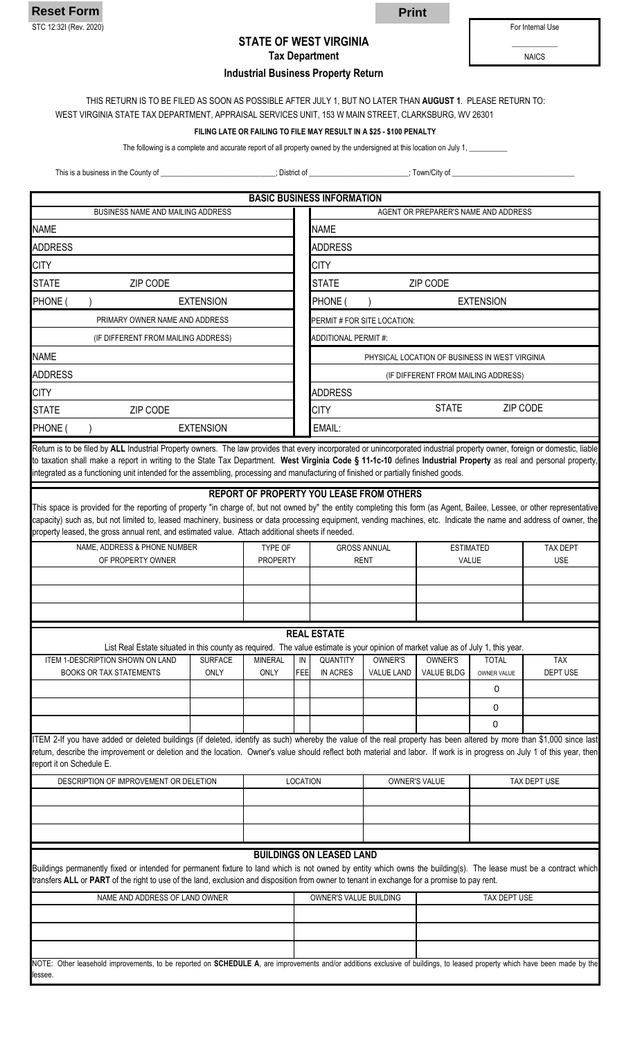

lessee.

## **STATE OF WEST VIRGINIA Tax Department**

**Industrial Business Property Return**

For Internal Use

NAICS

# THIS RETURN IS TO BE FILED AS SOON AS POSSIBLE AFTER JULY 1, BUT NO LATER THAN **AUGUST 1**. PLEASE RETURN TO:

WEST VIRGINIA STATE TAX DEPARTMENT, APPRAISAL SERVICES UNIT, 153 W MAIN STREET, CLARKSBURG, WV 26301

#### **FILING LATE OR FAILING TO FILE MAY RESULT IN A \$25 - \$100 PENALTY**

The following is a complete and accurate report of all property owned by the undersigned at this location on July 1,

This is a business in the County of \_\_\_\_\_\_\_\_\_\_\_\_\_\_\_\_\_\_\_\_\_\_\_\_\_\_\_\_\_\_; District of \_\_\_\_\_\_\_\_\_\_\_\_\_\_\_\_\_\_\_\_\_\_\_\_\_\_; Town/City of \_\_\_\_\_\_\_\_\_\_\_\_\_\_\_\_\_\_\_\_\_\_\_\_\_\_\_\_\_\_\_\_

|                                                                                                                                                                                                                                                                                                                                                                                                                                                                                       |                  |                 |            | <b>BASIC BUSINESS INFORMATION</b>              |                                                 |                   |                                     |            |  |  |  |  |  |  |  |
|---------------------------------------------------------------------------------------------------------------------------------------------------------------------------------------------------------------------------------------------------------------------------------------------------------------------------------------------------------------------------------------------------------------------------------------------------------------------------------------|------------------|-----------------|------------|------------------------------------------------|-------------------------------------------------|-------------------|-------------------------------------|------------|--|--|--|--|--|--|--|
| BUSINESS NAME AND MAILING ADDRESS                                                                                                                                                                                                                                                                                                                                                                                                                                                     |                  |                 |            | AGENT OR PREPARER'S NAME AND ADDRESS           |                                                 |                   |                                     |            |  |  |  |  |  |  |  |
| <b>NAME</b>                                                                                                                                                                                                                                                                                                                                                                                                                                                                           |                  |                 |            | <b>NAME</b>                                    |                                                 |                   |                                     |            |  |  |  |  |  |  |  |
| <b>ADDRESS</b>                                                                                                                                                                                                                                                                                                                                                                                                                                                                        |                  |                 |            | <b>ADDRESS</b>                                 |                                                 |                   |                                     |            |  |  |  |  |  |  |  |
| <b>CITY</b>                                                                                                                                                                                                                                                                                                                                                                                                                                                                           |                  |                 |            | <b>CITY</b>                                    |                                                 |                   |                                     |            |  |  |  |  |  |  |  |
| <b>STATE</b><br>ZIP CODE                                                                                                                                                                                                                                                                                                                                                                                                                                                              |                  |                 |            | <b>STATE</b>                                   |                                                 | ZIP CODE          |                                     |            |  |  |  |  |  |  |  |
| PHONE (                                                                                                                                                                                                                                                                                                                                                                                                                                                                               | <b>EXTENSION</b> |                 |            | PHONE (<br><b>EXTENSION</b>                    |                                                 |                   |                                     |            |  |  |  |  |  |  |  |
| PRIMARY OWNER NAME AND ADDRESS                                                                                                                                                                                                                                                                                                                                                                                                                                                        |                  |                 |            | PERMIT # FOR SITE LOCATION:                    |                                                 |                   |                                     |            |  |  |  |  |  |  |  |
| (IF DIFFERENT FROM MAILING ADDRESS)                                                                                                                                                                                                                                                                                                                                                                                                                                                   |                  |                 |            | ADDITIONAL PERMIT #:                           |                                                 |                   |                                     |            |  |  |  |  |  |  |  |
| <b>NAME</b>                                                                                                                                                                                                                                                                                                                                                                                                                                                                           |                  |                 |            | PHYSICAL LOCATION OF BUSINESS IN WEST VIRGINIA |                                                 |                   |                                     |            |  |  |  |  |  |  |  |
| <b>ADDRESS</b>                                                                                                                                                                                                                                                                                                                                                                                                                                                                        |                  |                 |            |                                                |                                                 |                   | (IF DIFFERENT FROM MAILING ADDRESS) |            |  |  |  |  |  |  |  |
| <b>CITY</b>                                                                                                                                                                                                                                                                                                                                                                                                                                                                           |                  |                 |            | <b>ADDRESS</b>                                 |                                                 |                   |                                     |            |  |  |  |  |  |  |  |
| <b>STATE</b><br>ZIP CODE                                                                                                                                                                                                                                                                                                                                                                                                                                                              |                  |                 |            | <b>CITY</b>                                    |                                                 | <b>STATE</b>      |                                     | ZIP CODE   |  |  |  |  |  |  |  |
| PHONE (                                                                                                                                                                                                                                                                                                                                                                                                                                                                               | <b>EXTENSION</b> |                 |            | EMAIL:                                         |                                                 |                   |                                     |            |  |  |  |  |  |  |  |
| Return is to be filed by ALL Industrial Property owners. The law provides that every incorporated or unincorporated industrial property owner, foreign or domestic, liable<br>to taxation shall make a report in writing to the State Tax Department. West Virginia Code § 11-1c-10 defines Industrial Property as real and personal property,<br>integrated as a functioning unit intended for the assembling, processing and manufacturing of finished or partially finished goods. |                  |                 |            |                                                |                                                 |                   |                                     |            |  |  |  |  |  |  |  |
| This space is provided for the reporting of property "in charge of, but not owned by" the entity completing this form (as Agent, Bailee, Lessee, or other representative<br>capacity) such as, but not limited to, leased machinery, business or data processing equipment, vending machines, etc. Indicate the name and address of owner, the<br>property leased, the gross annual rent, and estimated value. Attach additional sheets if needed.                                    |                  |                 |            |                                                | <b>REPORT OF PROPERTY YOU LEASE FROM OTHERS</b> |                   |                                     |            |  |  |  |  |  |  |  |
| NAME, ADDRESS & PHONE NUMBER                                                                                                                                                                                                                                                                                                                                                                                                                                                          |                  | TYPE OF         |            |                                                | <b>GROSS ANNUAL</b>                             | <b>ESTIMATED</b>  | <b>TAX DEPT</b>                     |            |  |  |  |  |  |  |  |
| OF PROPERTY OWNER                                                                                                                                                                                                                                                                                                                                                                                                                                                                     |                  | <b>PROPERTY</b> |            |                                                | <b>RENT</b>                                     |                   | VALUE                               | <b>USE</b> |  |  |  |  |  |  |  |
|                                                                                                                                                                                                                                                                                                                                                                                                                                                                                       |                  |                 |            |                                                |                                                 |                   |                                     |            |  |  |  |  |  |  |  |
|                                                                                                                                                                                                                                                                                                                                                                                                                                                                                       |                  |                 |            |                                                |                                                 |                   |                                     |            |  |  |  |  |  |  |  |
|                                                                                                                                                                                                                                                                                                                                                                                                                                                                                       |                  |                 |            |                                                |                                                 |                   |                                     |            |  |  |  |  |  |  |  |
|                                                                                                                                                                                                                                                                                                                                                                                                                                                                                       |                  |                 |            | <b>REAL ESTATE</b>                             |                                                 |                   |                                     |            |  |  |  |  |  |  |  |
| List Real Estate situated in this county as required. The value estimate is your opinion of market value as of July 1, this year.<br>ITEM 1-DESCRIPTION SHOWN ON LAND                                                                                                                                                                                                                                                                                                                 | <b>SURFACE</b>   | <b>MINERAL</b>  | IN         | <b>QUANTITY</b>                                | OWNER'S                                         | OWNER'S           | <b>TOTAL</b>                        | <b>TAX</b> |  |  |  |  |  |  |  |
| <b>BOOKS OR TAX STATEMENTS</b>                                                                                                                                                                                                                                                                                                                                                                                                                                                        | ONLY             | <b>ONLY</b>     | <b>FEE</b> | IN ACRES                                       | <b>VALUE LAND</b>                               | <b>VALUE BLDG</b> | OWNER VALUE                         | DEPT USE   |  |  |  |  |  |  |  |
|                                                                                                                                                                                                                                                                                                                                                                                                                                                                                       |                  |                 |            |                                                |                                                 |                   | 0                                   |            |  |  |  |  |  |  |  |
|                                                                                                                                                                                                                                                                                                                                                                                                                                                                                       |                  |                 |            |                                                |                                                 |                   | 0                                   |            |  |  |  |  |  |  |  |
|                                                                                                                                                                                                                                                                                                                                                                                                                                                                                       |                  |                 |            |                                                |                                                 |                   | 0                                   |            |  |  |  |  |  |  |  |
| ITEM 2-If you have added or deleted buildings (if deleted, identify as such) whereby the value of the real property has been altered by more than \$1,000 since last<br>return, describe the improvement or deletion and the location. Owner's value should reflect both material and labor. If work is in progress on July 1 of this year, then<br>report it on Schedule E.                                                                                                          |                  |                 |            |                                                |                                                 |                   |                                     |            |  |  |  |  |  |  |  |
| DESCRIPTION OF IMPROVEMENT OR DELETION                                                                                                                                                                                                                                                                                                                                                                                                                                                |                  |                 | LOCATION   |                                                |                                                 | OWNER'S VALUE     | TAX DEPT USE                        |            |  |  |  |  |  |  |  |
|                                                                                                                                                                                                                                                                                                                                                                                                                                                                                       |                  |                 |            |                                                |                                                 |                   |                                     |            |  |  |  |  |  |  |  |
|                                                                                                                                                                                                                                                                                                                                                                                                                                                                                       |                  |                 |            |                                                |                                                 |                   |                                     |            |  |  |  |  |  |  |  |
|                                                                                                                                                                                                                                                                                                                                                                                                                                                                                       |                  |                 |            |                                                |                                                 |                   |                                     |            |  |  |  |  |  |  |  |
| Buildings permanently fixed or intended for permanent fixture to land which is not owned by entity which owns the building(s). The lease must be a contract which<br>transfers ALL or PART of the right to use of the land, exclusion and disposition from owner to tenant in exchange for a promise to pay rent.                                                                                                                                                                     |                  |                 |            | <b>BUILDINGS ON LEASED LAND</b>                |                                                 |                   |                                     |            |  |  |  |  |  |  |  |
| NAME AND ADDRESS OF LAND OWNER                                                                                                                                                                                                                                                                                                                                                                                                                                                        |                  |                 |            | OWNER'S VALUE BUILDING                         |                                                 |                   | TAX DEPT USE                        |            |  |  |  |  |  |  |  |
|                                                                                                                                                                                                                                                                                                                                                                                                                                                                                       |                  |                 |            |                                                |                                                 |                   |                                     |            |  |  |  |  |  |  |  |
|                                                                                                                                                                                                                                                                                                                                                                                                                                                                                       |                  |                 |            |                                                |                                                 |                   |                                     |            |  |  |  |  |  |  |  |
|                                                                                                                                                                                                                                                                                                                                                                                                                                                                                       |                  |                 |            |                                                |                                                 |                   |                                     |            |  |  |  |  |  |  |  |
| NOTE: Other leasehold improvements, to be reported on SCHEDULE A, are improvements and/or additions exclusive of buildings, to leased property which have been made by the                                                                                                                                                                                                                                                                                                            |                  |                 |            |                                                |                                                 |                   |                                     |            |  |  |  |  |  |  |  |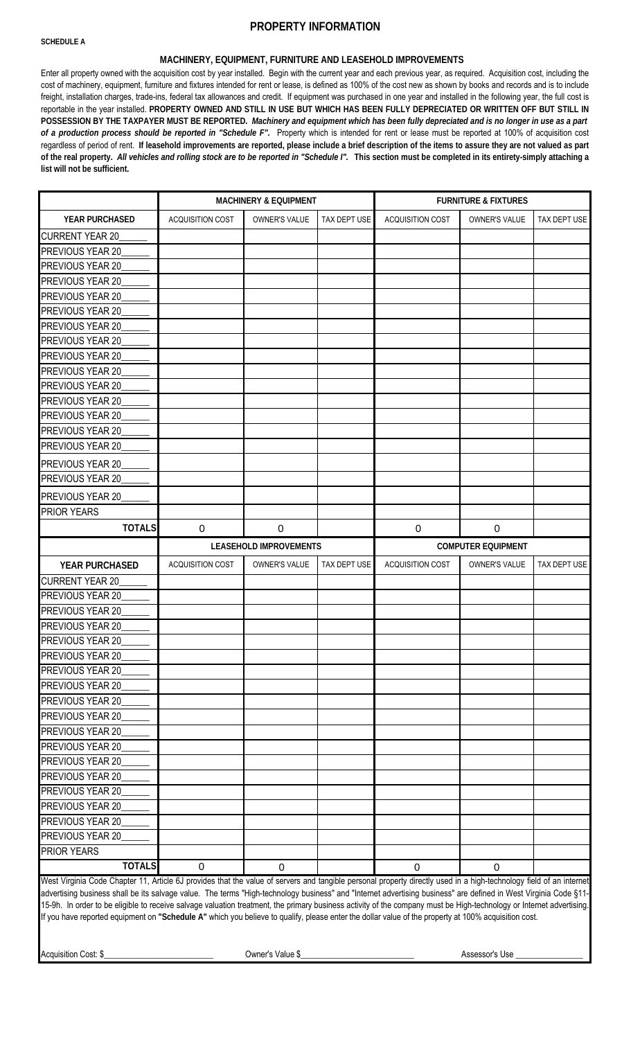#### **SCHEDULE A**

## **PROPERTY INFORMATION**

### **MACHINERY, EQUIPMENT, FURNITURE AND LEASEHOLD IMPROVEMENTS**

Enter all property owned with the acquisition cost by year installed. Begin with the current year and each previous year, as required. Acquisition cost, including the cost of machinery, equipment, furniture and fixtures intended for rent or lease, is defined as 100% of the cost new as shown by books and records and is to include freight, installation charges, trade-ins, federal tax allowances and credit. If equipment was purchased in one year and installed in the following year, the full cost is reportable in the year installed. PROPERTY OWNED AND STILL IN USE BUT WHICH HAS BEEN FULLY DEPRECIATED OR WRITTEN OFF BUT STILL IN POSSESSION BY THE TAXPAYER MUST BE REPORTED. Machinery and equipment which has been fully depreciated and is no longer in use as a part *of a production process should be reported in "Schedule F".* Property which is intended for rent or lease must be reported at 100% of acquisition cost regardless of period of rent. If leasehold improvements are reported, please include a brief description of the items to assure they are not valued as part of the real property. All vehicles and rolling stock are to be reported in "Schedule I". This section must be completed in its entirety-simply attaching a **list will not be sufficient.**

|                                      |                         | <b>MACHINERY &amp; EQUIPMENT</b> |              | <b>FURNITURE &amp; FIXTURES</b> |                           |              |  |  |  |  |
|--------------------------------------|-------------------------|----------------------------------|--------------|---------------------------------|---------------------------|--------------|--|--|--|--|
| YEAR PURCHASED                       | <b>ACQUISITION COST</b> | OWNER'S VALUE                    | TAX DEPT USE | <b>ACQUISITION COST</b>         | OWNER'S VALUE             | TAX DEPT USE |  |  |  |  |
| <b>CURRENT YEAR 20</b>               |                         |                                  |              |                                 |                           |              |  |  |  |  |
| PREVIOUS YEAR 20                     |                         |                                  |              |                                 |                           |              |  |  |  |  |
| PREVIOUS YEAR 20                     |                         |                                  |              |                                 |                           |              |  |  |  |  |
| PREVIOUS YEAR 20                     |                         |                                  |              |                                 |                           |              |  |  |  |  |
| PREVIOUS YEAR 20                     |                         |                                  |              |                                 |                           |              |  |  |  |  |
| PREVIOUS YEAR 20                     |                         |                                  |              |                                 |                           |              |  |  |  |  |
| PREVIOUS YEAR 20                     |                         |                                  |              |                                 |                           |              |  |  |  |  |
| PREVIOUS YEAR 20                     |                         |                                  |              |                                 |                           |              |  |  |  |  |
| PREVIOUS YEAR 20                     |                         |                                  |              |                                 |                           |              |  |  |  |  |
| PREVIOUS YEAR 20                     |                         |                                  |              |                                 |                           |              |  |  |  |  |
| PREVIOUS YEAR 20                     |                         |                                  |              |                                 |                           |              |  |  |  |  |
| PREVIOUS YEAR 20                     |                         |                                  |              |                                 |                           |              |  |  |  |  |
| PREVIOUS YEAR 20                     |                         |                                  |              |                                 |                           |              |  |  |  |  |
| PREVIOUS YEAR 20                     |                         |                                  |              |                                 |                           |              |  |  |  |  |
| PREVIOUS YEAR 20                     |                         |                                  |              |                                 |                           |              |  |  |  |  |
| PREVIOUS YEAR 20                     |                         |                                  |              |                                 |                           |              |  |  |  |  |
| PREVIOUS YEAR 20                     |                         |                                  |              |                                 |                           |              |  |  |  |  |
| PREVIOUS YEAR 20                     |                         |                                  |              |                                 |                           |              |  |  |  |  |
| PRIOR YEARS                          |                         |                                  |              |                                 |                           |              |  |  |  |  |
| <b>TOTALS</b>                        | $\mathbf 0$             | $\mathbf 0$                      |              | $\mathbf 0$                     | $\mathbf 0$               |              |  |  |  |  |
|                                      |                         |                                  |              |                                 |                           |              |  |  |  |  |
|                                      |                         | <b>LEASEHOLD IMPROVEMENTS</b>    |              |                                 | <b>COMPUTER EQUIPMENT</b> |              |  |  |  |  |
| YEAR PURCHASED                       | ACQUISITION COST        | OWNER'S VALUE                    | TAX DEPT USE | <b>ACQUISITION COST</b>         | OWNER'S VALUE             | TAX DEPT USE |  |  |  |  |
| <b>CURRENT YEAR 20</b>               |                         |                                  |              |                                 |                           |              |  |  |  |  |
| PREVIOUS YEAR 20                     |                         |                                  |              |                                 |                           |              |  |  |  |  |
| PREVIOUS YEAR 20                     |                         |                                  |              |                                 |                           |              |  |  |  |  |
| PREVIOUS YEAR 20                     |                         |                                  |              |                                 |                           |              |  |  |  |  |
| PREVIOUS YEAR 20                     |                         |                                  |              |                                 |                           |              |  |  |  |  |
|                                      |                         |                                  |              |                                 |                           |              |  |  |  |  |
| PREVIOUS YEAR 20                     |                         |                                  |              |                                 |                           |              |  |  |  |  |
| PREVIOUS YEAR 20                     |                         |                                  |              |                                 |                           |              |  |  |  |  |
| PREVIOUS YEAR 20                     |                         |                                  |              |                                 |                           |              |  |  |  |  |
| PREVIOUS YEAR 20                     |                         |                                  |              |                                 |                           |              |  |  |  |  |
| PREVIOUS YEAR 20<br>PREVIOUS YEAR 20 |                         |                                  |              |                                 |                           |              |  |  |  |  |
| PREVIOUS YEAR 20                     |                         |                                  |              |                                 |                           |              |  |  |  |  |
| PREVIOUS YEAR 20                     |                         |                                  |              |                                 |                           |              |  |  |  |  |
| PREVIOUS YEAR 20                     |                         |                                  |              |                                 |                           |              |  |  |  |  |
| PREVIOUS YEAR 20                     |                         |                                  |              |                                 |                           |              |  |  |  |  |
| PREVIOUS YEAR 20                     |                         |                                  |              |                                 |                           |              |  |  |  |  |
| PREVIOUS YEAR 20                     |                         |                                  |              |                                 |                           |              |  |  |  |  |
| PREVIOUS YEAR 20                     |                         |                                  |              |                                 |                           |              |  |  |  |  |
| PRIOR YEARS                          |                         |                                  |              |                                 |                           |              |  |  |  |  |

West Virginia Code Chapter 11, Article 6J provides that the value of servers and tangible personal property directly used in a high-technology field of an internet advertising business shall be its salvage value. The terms "High-technology business" and "Internet advertising business" are defined in West Virginia Code §11- 15-9h. In order to be eligible to receive salvage valuation treatment, the primary business activity of the company must be High-technology or Internet advertising. If you have reported equipment on **"Schedule A"** which you believe to qualify, please enter the dollar value of the property at 100% acquisition cost.

Acquisition Cost: \$\_\_\_\_\_\_\_\_\_\_\_\_\_\_\_\_\_\_\_\_\_\_\_\_\_\_ Owner's Value \$\_\_\_\_\_\_\_\_\_\_\_\_\_\_\_\_\_\_\_\_\_\_\_\_\_\_\_ Assessor's Use \_\_\_\_\_\_\_\_\_\_\_\_\_\_\_\_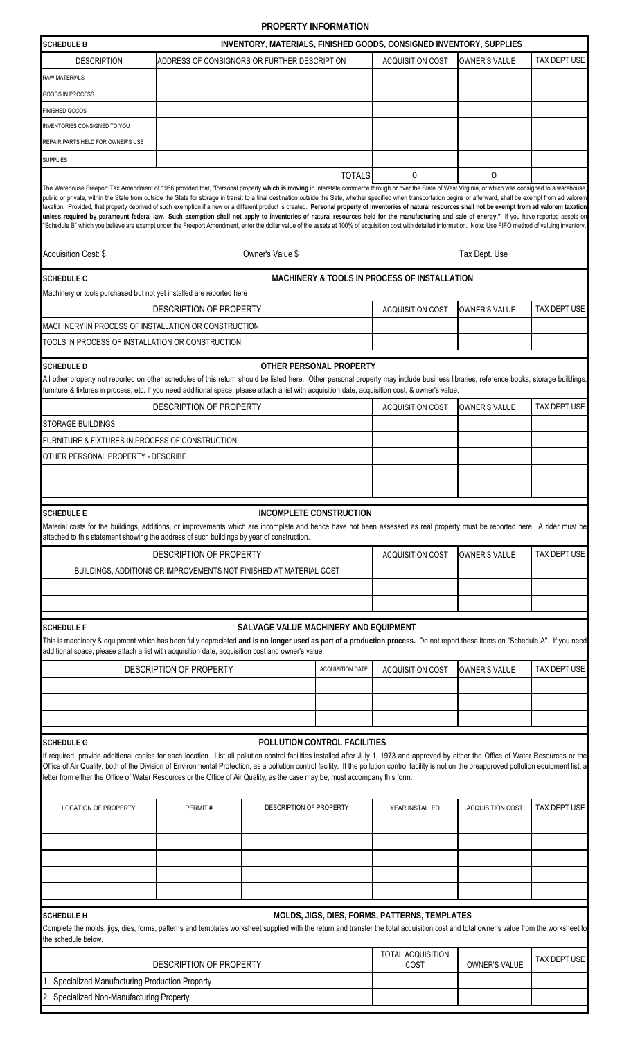## **PROPERTY INFORMATION**

| INVENTORY, MATERIALS, FINISHED GOODS, CONSIGNED INVENTORY, SUPPLIES<br><b>SCHEDULE B</b>                                                                                                                                                                                                                                                                                                                                                                                                                                                                                                                                                                                                                                                                                                                                                                                                                                                                                                                                                                           |                                                                    |                                       |                         |                                                         |                               |              |  |  |  |  |  |
|--------------------------------------------------------------------------------------------------------------------------------------------------------------------------------------------------------------------------------------------------------------------------------------------------------------------------------------------------------------------------------------------------------------------------------------------------------------------------------------------------------------------------------------------------------------------------------------------------------------------------------------------------------------------------------------------------------------------------------------------------------------------------------------------------------------------------------------------------------------------------------------------------------------------------------------------------------------------------------------------------------------------------------------------------------------------|--------------------------------------------------------------------|---------------------------------------|-------------------------|---------------------------------------------------------|-------------------------------|--------------|--|--|--|--|--|
| <b>DESCRIPTION</b>                                                                                                                                                                                                                                                                                                                                                                                                                                                                                                                                                                                                                                                                                                                                                                                                                                                                                                                                                                                                                                                 | ADDRESS OF CONSIGNORS OR FURTHER DESCRIPTION                       |                                       |                         | <b>ACQUISITION COST</b>                                 | <b>OWNER'S VALUE</b>          | TAX DEPT USE |  |  |  |  |  |
| <b>RAW MATERIALS</b>                                                                                                                                                                                                                                                                                                                                                                                                                                                                                                                                                                                                                                                                                                                                                                                                                                                                                                                                                                                                                                               |                                                                    |                                       |                         |                                                         |                               |              |  |  |  |  |  |
| GOODS IN PROCESS                                                                                                                                                                                                                                                                                                                                                                                                                                                                                                                                                                                                                                                                                                                                                                                                                                                                                                                                                                                                                                                   |                                                                    |                                       |                         |                                                         |                               |              |  |  |  |  |  |
| FINISHED GOODS                                                                                                                                                                                                                                                                                                                                                                                                                                                                                                                                                                                                                                                                                                                                                                                                                                                                                                                                                                                                                                                     |                                                                    |                                       |                         |                                                         |                               |              |  |  |  |  |  |
| INVENTORIES CONSIGNED TO YOU                                                                                                                                                                                                                                                                                                                                                                                                                                                                                                                                                                                                                                                                                                                                                                                                                                                                                                                                                                                                                                       |                                                                    |                                       |                         |                                                         |                               |              |  |  |  |  |  |
| REPAIR PARTS HELD FOR OWNER'S USE                                                                                                                                                                                                                                                                                                                                                                                                                                                                                                                                                                                                                                                                                                                                                                                                                                                                                                                                                                                                                                  |                                                                    |                                       |                         |                                                         |                               |              |  |  |  |  |  |
| <b>SUPPLIES</b>                                                                                                                                                                                                                                                                                                                                                                                                                                                                                                                                                                                                                                                                                                                                                                                                                                                                                                                                                                                                                                                    |                                                                    |                                       |                         |                                                         |                               |              |  |  |  |  |  |
|                                                                                                                                                                                                                                                                                                                                                                                                                                                                                                                                                                                                                                                                                                                                                                                                                                                                                                                                                                                                                                                                    |                                                                    |                                       | <b>TOTALS</b>           | $\mathbf 0$                                             | $\mathbf 0$                   |              |  |  |  |  |  |
| The Warehouse Freeport Tax Amendment of 1986 provided that, "Personal property which is moving in interstate commerce through or over the State of West Virginia, or which was consigned to a warehouse,<br>public or private, within the State from outside the State for storage in transit to a final destination outside the Sate, whether specified when transportation begins or afterward, shall be exempt from ad valorem<br>taxation. Provided, that property deprived of such exemption if a new or a different product is created. Personal property of inventories of natural resources shall not be exempt from ad valorem taxation<br>unless required by paramount federal law. Such exemption shall not apply to inventories of natural resources held for the manufacturing and sale of energy." If you have reported assets on<br>"Schedule B" which you believe are exempt under the Freeport Amendment, enter the dollar value of the assets at 100% of acquisition cost with detailed information. Note: Use FIFO method of valuing inventory. |                                                                    |                                       |                         |                                                         |                               |              |  |  |  |  |  |
| Acquisition Cost: \$                                                                                                                                                                                                                                                                                                                                                                                                                                                                                                                                                                                                                                                                                                                                                                                                                                                                                                                                                                                                                                               |                                                                    |                                       |                         |                                                         | Tax Dept. Use _______________ |              |  |  |  |  |  |
| <b>SCHEDULE C</b>                                                                                                                                                                                                                                                                                                                                                                                                                                                                                                                                                                                                                                                                                                                                                                                                                                                                                                                                                                                                                                                  |                                                                    |                                       |                         | <b>MACHINERY &amp; TOOLS IN PROCESS OF INSTALLATION</b> |                               |              |  |  |  |  |  |
| Machinery or tools purchased but not yet installed are reported here                                                                                                                                                                                                                                                                                                                                                                                                                                                                                                                                                                                                                                                                                                                                                                                                                                                                                                                                                                                               |                                                                    |                                       |                         |                                                         |                               |              |  |  |  |  |  |
|                                                                                                                                                                                                                                                                                                                                                                                                                                                                                                                                                                                                                                                                                                                                                                                                                                                                                                                                                                                                                                                                    | DESCRIPTION OF PROPERTY                                            |                                       |                         | <b>ACQUISITION COST</b>                                 | <b>OWNER'S VALUE</b>          | TAX DEPT USE |  |  |  |  |  |
| MACHINERY IN PROCESS OF INSTALLATION OR CONSTRUCTION                                                                                                                                                                                                                                                                                                                                                                                                                                                                                                                                                                                                                                                                                                                                                                                                                                                                                                                                                                                                               |                                                                    |                                       |                         |                                                         |                               |              |  |  |  |  |  |
| TOOLS IN PROCESS OF INSTALLATION OR CONSTRUCTION                                                                                                                                                                                                                                                                                                                                                                                                                                                                                                                                                                                                                                                                                                                                                                                                                                                                                                                                                                                                                   |                                                                    |                                       |                         |                                                         |                               |              |  |  |  |  |  |
| <b>SCHEDULE D</b>                                                                                                                                                                                                                                                                                                                                                                                                                                                                                                                                                                                                                                                                                                                                                                                                                                                                                                                                                                                                                                                  |                                                                    |                                       | OTHER PERSONAL PROPERTY |                                                         |                               |              |  |  |  |  |  |
| All other property not reported on other schedules of this return should be listed here. Other personal property may include business libraries, reference books, storage buildings,<br>furniture & fixtures in process, etc. If you need additional space, please attach a list with acquisition date, acquisition cost, & owner's value.                                                                                                                                                                                                                                                                                                                                                                                                                                                                                                                                                                                                                                                                                                                         |                                                                    |                                       |                         |                                                         |                               |              |  |  |  |  |  |
|                                                                                                                                                                                                                                                                                                                                                                                                                                                                                                                                                                                                                                                                                                                                                                                                                                                                                                                                                                                                                                                                    | DESCRIPTION OF PROPERTY                                            |                                       |                         | <b>ACQUISITION COST</b>                                 | <b>OWNER'S VALUE</b>          | TAX DEPT USE |  |  |  |  |  |
| STORAGE BUILDINGS                                                                                                                                                                                                                                                                                                                                                                                                                                                                                                                                                                                                                                                                                                                                                                                                                                                                                                                                                                                                                                                  |                                                                    |                                       |                         |                                                         |                               |              |  |  |  |  |  |
| FURNITURE & FIXTURES IN PROCESS OF CONSTRUCTION                                                                                                                                                                                                                                                                                                                                                                                                                                                                                                                                                                                                                                                                                                                                                                                                                                                                                                                                                                                                                    |                                                                    |                                       |                         |                                                         |                               |              |  |  |  |  |  |
| OTHER PERSONAL PROPERTY - DESCRIBE                                                                                                                                                                                                                                                                                                                                                                                                                                                                                                                                                                                                                                                                                                                                                                                                                                                                                                                                                                                                                                 |                                                                    |                                       |                         |                                                         |                               |              |  |  |  |  |  |
|                                                                                                                                                                                                                                                                                                                                                                                                                                                                                                                                                                                                                                                                                                                                                                                                                                                                                                                                                                                                                                                                    |                                                                    |                                       |                         |                                                         |                               |              |  |  |  |  |  |
|                                                                                                                                                                                                                                                                                                                                                                                                                                                                                                                                                                                                                                                                                                                                                                                                                                                                                                                                                                                                                                                                    |                                                                    |                                       |                         |                                                         |                               |              |  |  |  |  |  |
|                                                                                                                                                                                                                                                                                                                                                                                                                                                                                                                                                                                                                                                                                                                                                                                                                                                                                                                                                                                                                                                                    |                                                                    |                                       |                         |                                                         |                               |              |  |  |  |  |  |
| <b>SCHEDULE E</b><br>Material costs for the buildings, additions, or improvements which are incomplete and hence have not been assessed as real property must be reported here. A rider must be<br>attached to this statement showing the address of such buildings by year of construction.                                                                                                                                                                                                                                                                                                                                                                                                                                                                                                                                                                                                                                                                                                                                                                       |                                                                    | INCOMPLETE CONSTRUCTION               |                         |                                                         |                               |              |  |  |  |  |  |
|                                                                                                                                                                                                                                                                                                                                                                                                                                                                                                                                                                                                                                                                                                                                                                                                                                                                                                                                                                                                                                                                    | DESCRIPTION OF PROPERTY                                            |                                       |                         | <b>ACQUISITION COST</b>                                 | <b>OWNER'S VALUE</b>          | TAX DEPT USE |  |  |  |  |  |
|                                                                                                                                                                                                                                                                                                                                                                                                                                                                                                                                                                                                                                                                                                                                                                                                                                                                                                                                                                                                                                                                    | BUILDINGS, ADDITIONS OR IMPROVEMENTS NOT FINISHED AT MATERIAL COST |                                       |                         |                                                         |                               |              |  |  |  |  |  |
|                                                                                                                                                                                                                                                                                                                                                                                                                                                                                                                                                                                                                                                                                                                                                                                                                                                                                                                                                                                                                                                                    |                                                                    |                                       |                         |                                                         |                               |              |  |  |  |  |  |
|                                                                                                                                                                                                                                                                                                                                                                                                                                                                                                                                                                                                                                                                                                                                                                                                                                                                                                                                                                                                                                                                    |                                                                    |                                       |                         |                                                         |                               |              |  |  |  |  |  |
|                                                                                                                                                                                                                                                                                                                                                                                                                                                                                                                                                                                                                                                                                                                                                                                                                                                                                                                                                                                                                                                                    |                                                                    |                                       |                         |                                                         |                               |              |  |  |  |  |  |
| <b>SCHEDULE F</b><br>This is machinery & equipment which has been fully depreciated and is no longer used as part of a production process. Do not report these items on "Schedule A". If you need<br>additional space, please attach a list with acquisition date, acquisition cost and owner's value.                                                                                                                                                                                                                                                                                                                                                                                                                                                                                                                                                                                                                                                                                                                                                             |                                                                    | SALVAGE VALUE MACHINERY AND EQUIPMENT |                         |                                                         |                               |              |  |  |  |  |  |
|                                                                                                                                                                                                                                                                                                                                                                                                                                                                                                                                                                                                                                                                                                                                                                                                                                                                                                                                                                                                                                                                    |                                                                    |                                       |                         |                                                         |                               |              |  |  |  |  |  |
|                                                                                                                                                                                                                                                                                                                                                                                                                                                                                                                                                                                                                                                                                                                                                                                                                                                                                                                                                                                                                                                                    | DESCRIPTION OF PROPERTY                                            |                                       | ACQUISITION DATE        | <b>ACQUISITION COST</b>                                 | <b>OWNER'S VALUE</b>          | TAX DEPT USE |  |  |  |  |  |
|                                                                                                                                                                                                                                                                                                                                                                                                                                                                                                                                                                                                                                                                                                                                                                                                                                                                                                                                                                                                                                                                    |                                                                    |                                       |                         |                                                         |                               |              |  |  |  |  |  |
|                                                                                                                                                                                                                                                                                                                                                                                                                                                                                                                                                                                                                                                                                                                                                                                                                                                                                                                                                                                                                                                                    |                                                                    |                                       |                         |                                                         |                               |              |  |  |  |  |  |
|                                                                                                                                                                                                                                                                                                                                                                                                                                                                                                                                                                                                                                                                                                                                                                                                                                                                                                                                                                                                                                                                    |                                                                    |                                       |                         |                                                         |                               |              |  |  |  |  |  |
| <b>SCHEDULE G</b><br>If required, provide additional copies for each location. List all pollution control facilities installed after July 1, 1973 and approved by either the Office of Water Resources or the<br>Office of Air Quality, both of the Division of Environmental Protection, as a pollution control facility. If the pollution control facility is not on the preapproved pollution equipment list, a<br>letter from either the Office of Water Resources or the Office of Air Quality, as the case may be, must accompany this form.                                                                                                                                                                                                                                                                                                                                                                                                                                                                                                                 |                                                                    | POLLUTION CONTROL FACILITIES          |                         |                                                         |                               |              |  |  |  |  |  |
| <b>LOCATION OF PROPERTY</b>                                                                                                                                                                                                                                                                                                                                                                                                                                                                                                                                                                                                                                                                                                                                                                                                                                                                                                                                                                                                                                        | PERMIT#                                                            | DESCRIPTION OF PROPERTY               |                         | YEAR INSTALLED                                          | <b>ACQUISITION COST</b>       | TAX DEPT USE |  |  |  |  |  |
|                                                                                                                                                                                                                                                                                                                                                                                                                                                                                                                                                                                                                                                                                                                                                                                                                                                                                                                                                                                                                                                                    |                                                                    |                                       |                         |                                                         |                               |              |  |  |  |  |  |
|                                                                                                                                                                                                                                                                                                                                                                                                                                                                                                                                                                                                                                                                                                                                                                                                                                                                                                                                                                                                                                                                    |                                                                    |                                       |                         |                                                         |                               |              |  |  |  |  |  |
|                                                                                                                                                                                                                                                                                                                                                                                                                                                                                                                                                                                                                                                                                                                                                                                                                                                                                                                                                                                                                                                                    |                                                                    |                                       |                         |                                                         |                               |              |  |  |  |  |  |
|                                                                                                                                                                                                                                                                                                                                                                                                                                                                                                                                                                                                                                                                                                                                                                                                                                                                                                                                                                                                                                                                    |                                                                    |                                       |                         |                                                         |                               |              |  |  |  |  |  |
|                                                                                                                                                                                                                                                                                                                                                                                                                                                                                                                                                                                                                                                                                                                                                                                                                                                                                                                                                                                                                                                                    |                                                                    |                                       |                         |                                                         |                               |              |  |  |  |  |  |
|                                                                                                                                                                                                                                                                                                                                                                                                                                                                                                                                                                                                                                                                                                                                                                                                                                                                                                                                                                                                                                                                    |                                                                    |                                       |                         |                                                         |                               |              |  |  |  |  |  |
| <b>SCHEDULE H</b><br>Complete the molds, jigs, dies, forms, patterns and templates worksheet supplied with the return and transfer the total acquisition cost and total owner's value from the worksheet to<br>the schedule below.                                                                                                                                                                                                                                                                                                                                                                                                                                                                                                                                                                                                                                                                                                                                                                                                                                 |                                                                    |                                       |                         | MOLDS, JIGS, DIES, FORMS, PATTERNS, TEMPLATES           |                               |              |  |  |  |  |  |
|                                                                                                                                                                                                                                                                                                                                                                                                                                                                                                                                                                                                                                                                                                                                                                                                                                                                                                                                                                                                                                                                    | DESCRIPTION OF PROPERTY                                            |                                       |                         | TOTAL ACQUISITION<br>COST                               | OWNER'S VALUE                 | TAX DEPT USE |  |  |  |  |  |
| 1. Specialized Manufacturing Production Property                                                                                                                                                                                                                                                                                                                                                                                                                                                                                                                                                                                                                                                                                                                                                                                                                                                                                                                                                                                                                   |                                                                    |                                       |                         |                                                         |                               |              |  |  |  |  |  |
| 2. Specialized Non-Manufacturing Property                                                                                                                                                                                                                                                                                                                                                                                                                                                                                                                                                                                                                                                                                                                                                                                                                                                                                                                                                                                                                          |                                                                    |                                       |                         |                                                         |                               |              |  |  |  |  |  |